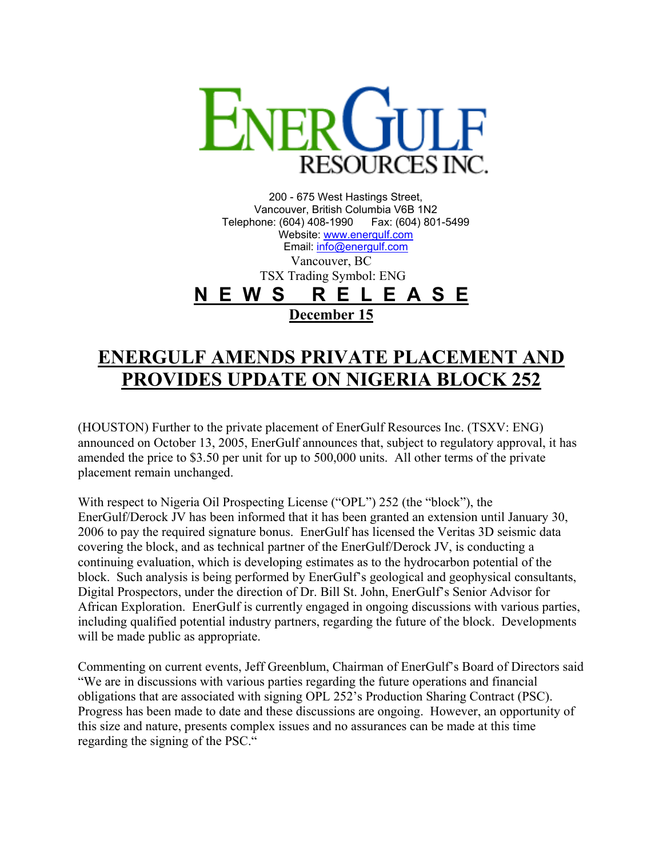

200 - 675 West Hastings Street, Vancouver, British Columbia V6B 1N2 Telephone: (604) 408-1990 Fax: (604) 801-5499 Website: [www.energulf.com](http://www.energulf.com/) Email: [info@energulf.com](mailto:info@energulf.com) Vancouver, BC TSX Trading Symbol: ENG **N E W S R E L E A S E December 15**

## **ENERGULF AMENDS PRIVATE PLACEMENT AND PROVIDES UPDATE ON NIGERIA BLOCK 252**

(HOUSTON) Further to the private placement of EnerGulf Resources Inc. (TSXV: ENG) announced on October 13, 2005, EnerGulf announces that, subject to regulatory approval, it has amended the price to \$3.50 per unit for up to 500,000 units. All other terms of the private placement remain unchanged.

With respect to Nigeria Oil Prospecting License ("OPL") 252 (the "block"), the EnerGulf/Derock JV has been informed that it has been granted an extension until January 30, 2006 to pay the required signature bonus. EnerGulf has licensed the Veritas 3D seismic data covering the block, and as technical partner of the EnerGulf/Derock JV, is conducting a continuing evaluation, which is developing estimates as to the hydrocarbon potential of the block. Such analysis is being performed by EnerGulf's geological and geophysical consultants, Digital Prospectors, under the direction of Dr. Bill St. John, EnerGulf's Senior Advisor for African Exploration. EnerGulf is currently engaged in ongoing discussions with various parties, including qualified potential industry partners, regarding the future of the block. Developments will be made public as appropriate.

Commenting on current events, Jeff Greenblum, Chairman of EnerGulf's Board of Directors said "We are in discussions with various parties regarding the future operations and financial obligations that are associated with signing OPL 252's Production Sharing Contract (PSC). Progress has been made to date and these discussions are ongoing. However, an opportunity of this size and nature, presents complex issues and no assurances can be made at this time regarding the signing of the PSC."